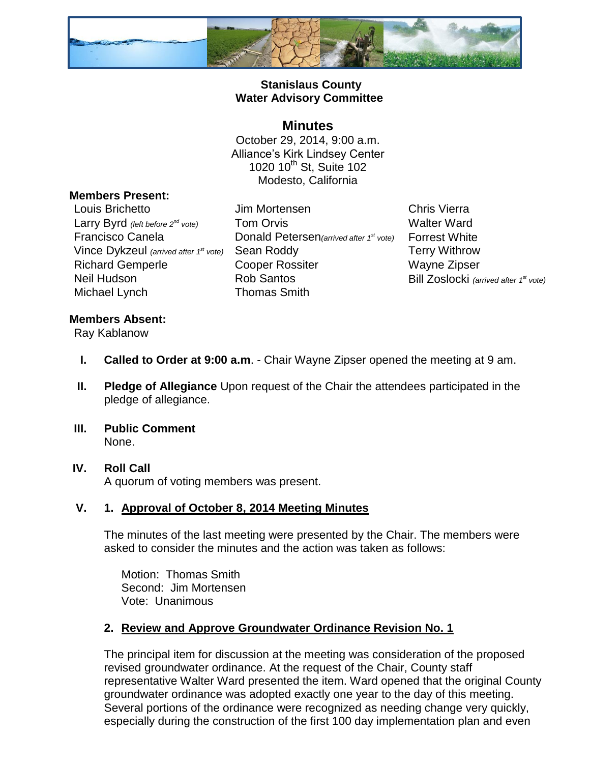

## **Stanislaus County Water Advisory Committee**

## **Minutes**

October 29, 2014, 9:00 a.m. Alliance's Kirk Lindsey Center 1020 10<sup>th</sup> St, Suite 102 Modesto, California

## **Members Present:**

Louis Brichetto Jim Mortensen Chris Vierra Vince Dykzeul *(arrived after 1* Michael Lynch Thomas Smith

Larry Byrd *(left before 2<sup>nd</sup> vote)* Tom Orvis Walter Ward Francisco Canela Donald Petersen*(arrived after 1* **Sean Roddy Terry Withrow** Richard Gemperle **Cooper Rossiter** Wayne Zipser Neil Hudson **Rob Santos** Rob Santos Bill Zoslocki *(arrived after 1<sup>st</sup> vote)* 

**Forrest White** 

## **Members Absent:**

Ray Kablanow

- **I. Called to Order at 9:00 a.m**. Chair Wayne Zipser opened the meeting at 9 am.
- **II. Pledge of Allegiance** Upon request of the Chair the attendees participated in the pledge of allegiance.
- **III. Public Comment** None.
- **IV. Roll Call** A quorum of voting members was present.

## **V. 1. Approval of October 8, 2014 Meeting Minutes**

The minutes of the last meeting were presented by the Chair. The members were asked to consider the minutes and the action was taken as follows:

Motion: Thomas Smith Second: Jim Mortensen Vote: Unanimous

## **2. Review and Approve Groundwater Ordinance Revision No. 1**

The principal item for discussion at the meeting was consideration of the proposed revised groundwater ordinance. At the request of the Chair, County staff representative Walter Ward presented the item. Ward opened that the original County groundwater ordinance was adopted exactly one year to the day of this meeting. Several portions of the ordinance were recognized as needing change very quickly, especially during the construction of the first 100 day implementation plan and even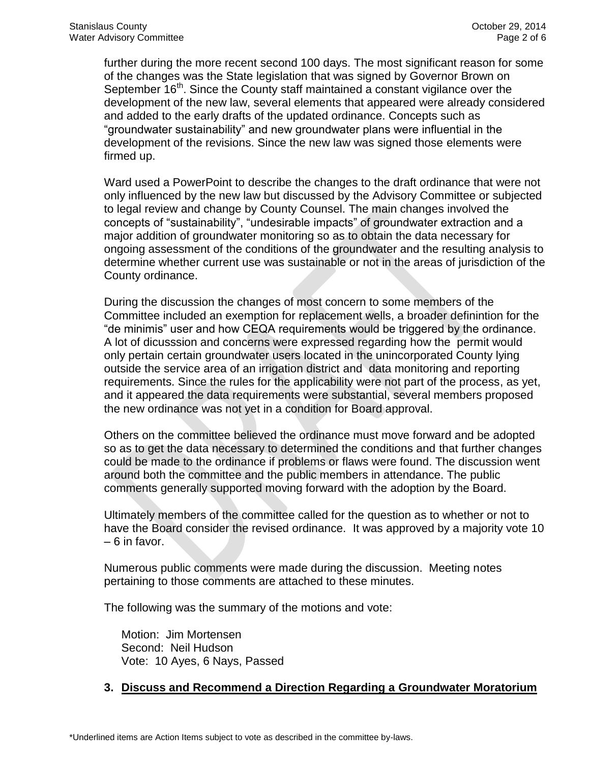further during the more recent second 100 days. The most significant reason for some of the changes was the State legislation that was signed by Governor Brown on September 16<sup>th</sup>. Since the County staff maintained a constant vigilance over the development of the new law, several elements that appeared were already considered and added to the early drafts of the updated ordinance. Concepts such as "groundwater sustainability" and new groundwater plans were influential in the development of the revisions. Since the new law was signed those elements were firmed up.

Ward used a PowerPoint to describe the changes to the draft ordinance that were not only influenced by the new law but discussed by the Advisory Committee or subjected to legal review and change by County Counsel. The main changes involved the concepts of "sustainability", "undesirable impacts" of groundwater extraction and a major addition of groundwater monitoring so as to obtain the data necessary for ongoing assessment of the conditions of the groundwater and the resulting analysis to determine whether current use was sustainable or not in the areas of jurisdiction of the County ordinance.

During the discussion the changes of most concern to some members of the Committee included an exemption for replacement wells, a broader definintion for the "de minimis" user and how CEQA requirements would be triggered by the ordinance. A lot of dicusssion and concerns were expressed regarding how the permit would only pertain certain groundwater users located in the unincorporated County lying outside the service area of an irrigation district and data monitoring and reporting requirements. Since the rules for the applicability were not part of the process, as yet, and it appeared the data requirements were substantial, several members proposed the new ordinance was not yet in a condition for Board approval.

Others on the committee believed the ordinance must move forward and be adopted so as to get the data necessary to determined the conditions and that further changes could be made to the ordinance if problems or flaws were found. The discussion went around both the committee and the public members in attendance. The public comments generally supported moving forward with the adoption by the Board.

Ultimately members of the committee called for the question as to whether or not to have the Board consider the revised ordinance. It was approved by a majority vote 10 – 6 in favor.

Numerous public comments were made during the discussion. Meeting notes pertaining to those comments are attached to these minutes.

The following was the summary of the motions and vote:

Motion: Jim Mortensen Second: Neil Hudson Vote: 10 Ayes, 6 Nays, Passed

## **3. Discuss and Recommend a Direction Regarding a Groundwater Moratorium**

\*Underlined items are Action Items subject to vote as described in the committee by-laws.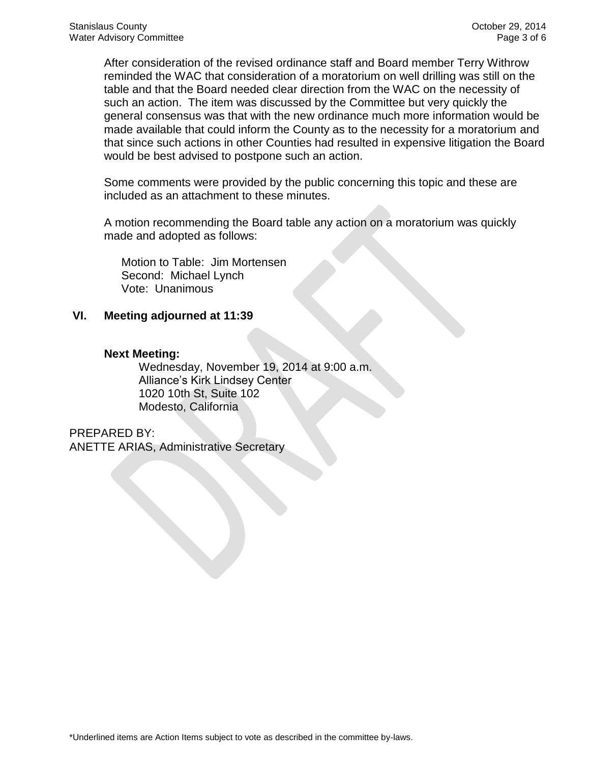After consideration of the revised ordinance staff and Board member Terry Withrow reminded the WAC that consideration of a moratorium on well drilling was still on the table and that the Board needed clear direction from the WAC on the necessity of such an action. The item was discussed by the Committee but very quickly the general consensus was that with the new ordinance much more information would be made available that could inform the County as to the necessity for a moratorium and that since such actions in other Counties had resulted in expensive litigation the Board would be best advised to postpone such an action.

Some comments were provided by the public concerning this topic and these are included as an attachment to these minutes.

A motion recommending the Board table any action on a moratorium was quickly made and adopted as follows:

Motion to Table: Jim Mortensen Second: Michael Lynch Vote: Unanimous

#### **VI. Meeting adjourned at 11:39**

#### **Next Meeting:**

Wednesday, November 19, 2014 at 9:00 a.m. Alliance's Kirk Lindsey Center 1020 10th St, Suite 102 Modesto, California

PREPARED BY:

ANETTE ARIAS, Administrative Secretary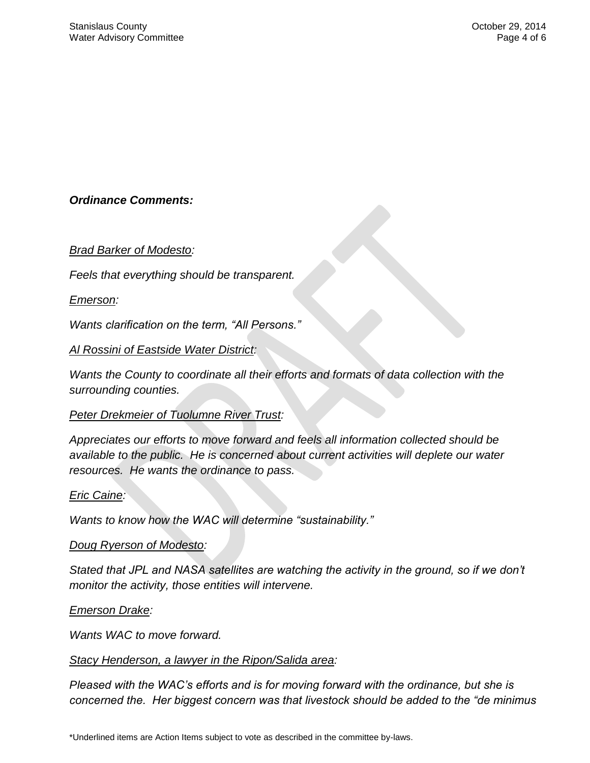# *Ordinance Comments:*

## *Brad Barker of Modesto:*

*Feels that everything should be transparent.*

#### *Emerson:*

*Wants clarification on the term, "All Persons."*

#### *Al Rossini of Eastside Water District:*

*Wants the County to coordinate all their efforts and formats of data collection with the surrounding counties.*

#### *Peter Drekmeier of Tuolumne River Trust:*

*Appreciates our efforts to move forward and feels all information collected should be available to the public. He is concerned about current activities will deplete our water resources. He wants the ordinance to pass.*

#### *Eric Caine:*

*Wants to know how the WAC will determine "sustainability."*

#### *Doug Ryerson of Modesto:*

*Stated that JPL and NASA satellites are watching the activity in the ground, so if we don't monitor the activity, those entities will intervene.*

#### *Emerson Drake:*

*Wants WAC to move forward.*

#### *Stacy Henderson, a lawyer in the Ripon/Salida area:*

*Pleased with the WAC's efforts and is for moving forward with the ordinance, but she is concerned the. Her biggest concern was that livestock should be added to the "de minimus*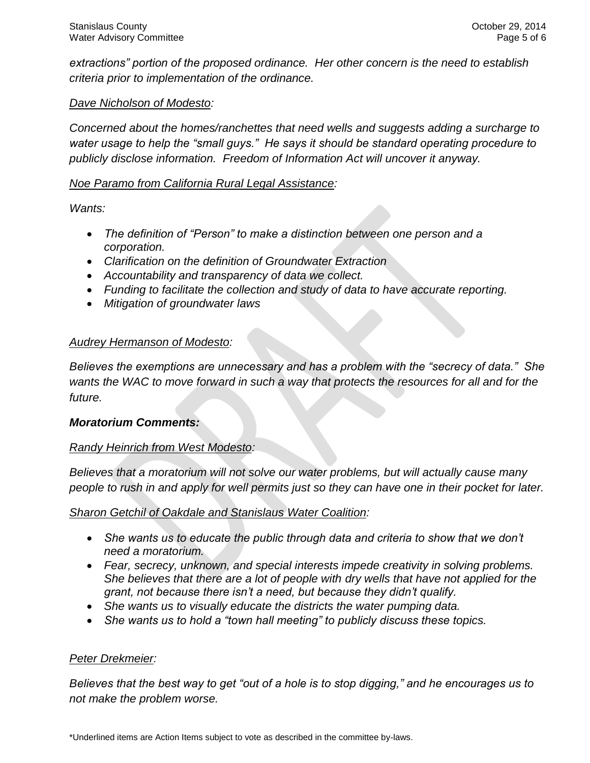*extractions" portion of the proposed ordinance. Her other concern is the need to establish criteria prior to implementation of the ordinance.*

## *Dave Nicholson of Modesto:*

*Concerned about the homes/ranchettes that need wells and suggests adding a surcharge to water usage to help the "small guys." He says it should be standard operating procedure to publicly disclose information. Freedom of Information Act will uncover it anyway.*

## *Noe Paramo from California Rural Legal Assistance:*

*Wants:* 

- *The definition of "Person" to make a distinction between one person and a corporation.*
- *Clarification on the definition of Groundwater Extraction*
- *Accountability and transparency of data we collect.*
- *Funding to facilitate the collection and study of data to have accurate reporting.*
- *Mitigation of groundwater laws*

#### *Audrey Hermanson of Modesto:*

*Believes the exemptions are unnecessary and has a problem with the "secrecy of data." She wants the WAC to move forward in such a way that protects the resources for all and for the future.*

#### *Moratorium Comments:*

#### *Randy Heinrich from West Modesto:*

*Believes that a moratorium will not solve our water problems, but will actually cause many people to rush in and apply for well permits just so they can have one in their pocket for later.*

*Sharon Getchil of Oakdale and Stanislaus Water Coalition:*

- She wants us to educate the public through data and criteria to show that we don't *need a moratorium.*
- *Fear, secrecy, unknown, and special interests impede creativity in solving problems. She believes that there are a lot of people with dry wells that have not applied for the grant, not because there isn't a need, but because they didn't qualify.*
- *She wants us to visually educate the districts the water pumping data.*
- *She wants us to hold a "town hall meeting" to publicly discuss these topics.*

#### *Peter Drekmeier:*

*Believes that the best way to get "out of a hole is to stop digging," and he encourages us to not make the problem worse.*

\*Underlined items are Action Items subject to vote as described in the committee by-laws.